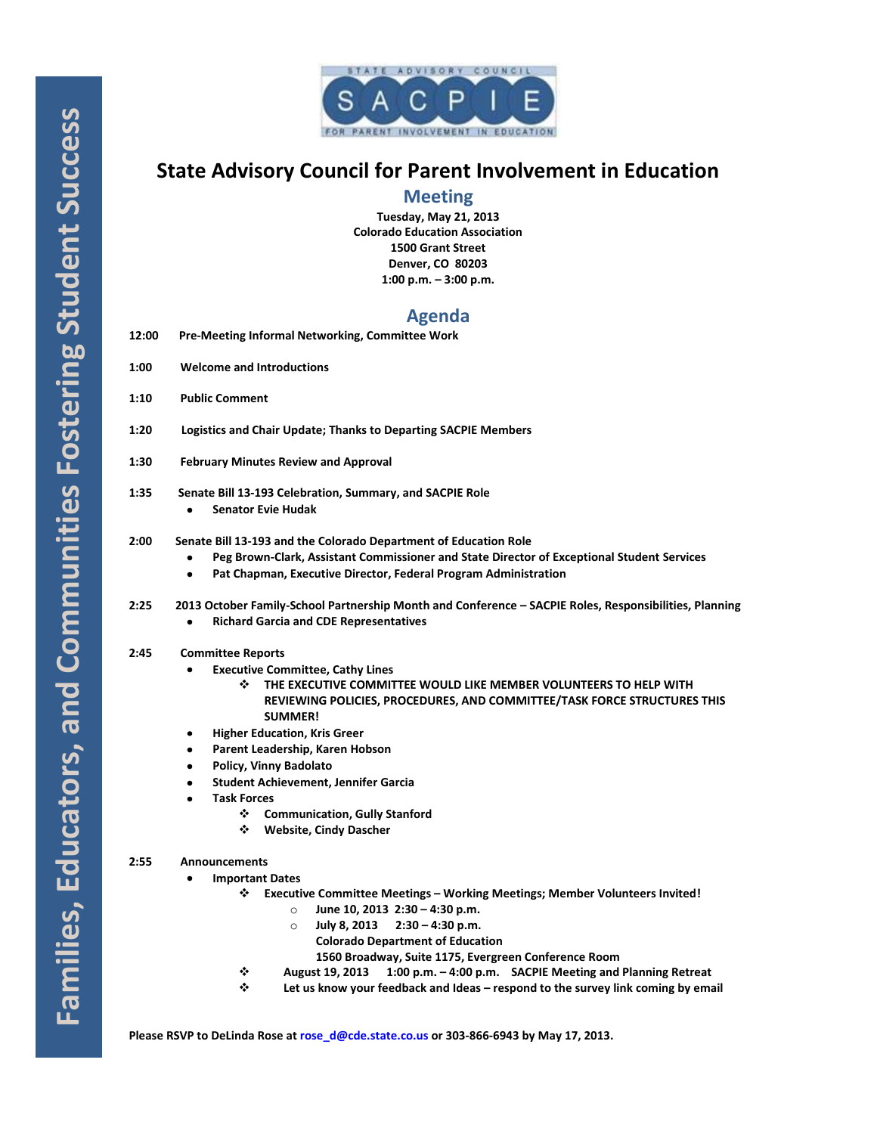

# **State Advisory Council for Parent Involvement in Education**

## **Meeting**

**Tuesday, May 21, 2013 Colorado Education Association 1500 Grant Street Denver, CO 80203 1:00 p.m. – 3:00 p.m.**

# **Agenda**

| 12:00 | <b>Pre-Meeting Informal Networking, Committee Work</b> |  |
|-------|--------------------------------------------------------|--|
|-------|--------------------------------------------------------|--|

- **1:00 Welcome and Introductions**
- **1:10 Public Comment**
- **1:20 Logistics and Chair Update; Thanks to Departing SACPIE Members**
- **1:30 February Minutes Review and Approval**
- **1:35 Senate Bill 13-193 Celebration, Summary, and SACPIE Role**
	- $\bullet$ **Senator Evie Hudak**

## **2:00 Senate Bill 13-193 and the Colorado Department of Education Role**

- **Peg Brown-Clark, Assistant Commissioner and State Director of Exceptional Student Services**
- **Pat Chapman, Executive Director, Federal Program Administration**
- **2:25 2013 October Family-School Partnership Month and Conference – SACPIE Roles, Responsibilities, Planning** 
	- **Richard Garcia and CDE Representatives**  $\bullet$

## **2:45 Committee Reports**

- **Executive Committee, Cathy Lines**  $\bullet$ 
	- **THE EXECUTIVE COMMITTEE WOULD LIKE MEMBER VOLUNTEERS TO HELP WITH REVIEWING POLICIES, PROCEDURES, AND COMMITTEE/TASK FORCE STRUCTURES THIS SUMMER!**
- **Higher Education, Kris Greer**
- **Parent Leadership, Karen Hobson**
- **Policy, Vinny Badolato**
- **Student Achievement, Jennifer Garcia**
- **Task Forces**
	- **Communication, Gully Stanford**
	- **Website, Cindy Dascher**

## **2:55 Announcements**

- $\bullet$ **Important Dates**
	- **Executive Committee Meetings – Working Meetings; Member Volunteers Invited!**
		- o **June 10, 2013 2:30 – 4:30 p.m.**
		- o **July 8, 2013 2:30 – 4:30 p.m.**
			- **Colorado Department of Education**
				- **1560 Broadway, Suite 1175, Evergreen Conference Room**
		- **August 19, 2013 1:00 p.m. – 4:00 p.m. SACPIE Meeting and Planning Retreat**
	- **Let us know your feedback and Ideas – respond to the survey link coming by email**

**Please RSVP to DeLinda Rose a[t rose\\_d@cde.state.co.us](mailto:rose_d@cde.state.co.us) or 303-866-6943 by May 17, 2013.**